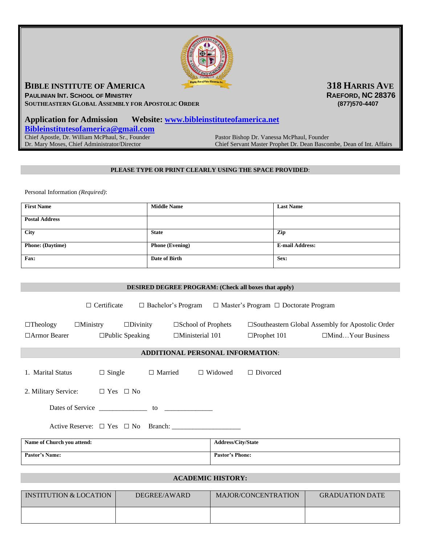

## **BIBLE INSTITUTE OF AMERICA 318 <b>HARRIS AVE**

**PAULINIAN INT. SCHOOL OF MINISTRY RAEFORD, NC 28376 SOUTHEASTERN GLOBAL ASSEMBLY FOR APOSTOLIC ORDER (877)570-4407** 

## **Application for Admission Website: [www.bibleinstituteofamerica.net](http://www.bibleinstituteofamerica.net/)  [Bibleinstitutesofamerica@gmail.com](mailto:Bibleinstitutesofamerica@gmail.com)** Chief Apostle, Dr. William McPhaul, Sr., Founder Pastor Bishop Dr. Vanessa McPhaul, Founder Dr. Mary Moses, Chief Administrator/Director Chief Servant Master Prophet Dr. Dean Bascor Chief Servant Master Prophet Dr. Dean Bascombe, Dean of Int. Affairs

## **PLEASE TYPE OR PRINT CLEARLY USING THE SPACE PROVIDED**:

Personal Information *(Required)*:

| <b>First Name</b>       | <b>Middle Name</b>     | <b>Last Name</b>       |
|-------------------------|------------------------|------------------------|
| <b>Postal Address</b>   |                        |                        |
| City                    | <b>State</b>           | Zip                    |
| <b>Phone: (Daytime)</b> | <b>Phone (Evening)</b> | <b>E-mail Address:</b> |
| Fax:                    | Date of Birth          | Sex:                   |

| <b>DESIRED DEGREE PROGRAM: (Check all boxes that apply)</b>                                                                             |                        |                    |                          |
|-----------------------------------------------------------------------------------------------------------------------------------------|------------------------|--------------------|--------------------------|
| $\Box$ Certificate $\Box$ Bachelor's Program $\Box$ Master's Program $\Box$ Doctorate Program                                           |                        |                    |                          |
| $\Box$ Ministry $\Box$ Divinity<br>$\square$ School of Prophets<br>□Southeastern Global Assembly for Apostolic Order<br>$\Box$ Theology |                        |                    |                          |
| $\Box$ Armor Bearer<br>$\square$ Public Speaking<br>$\Box$ Ministerial 101                                                              |                        | $\Box$ Prophet 101 | $\Box$ MindYour Business |
| <b>ADDITIONAL PERSONAL INFORMATION:</b>                                                                                                 |                        |                    |                          |
| 1. Marital Status<br>$\Box$ Single $\Box$ Married $\Box$ Widowed                                                                        |                        | $\Box$ Divorced    |                          |
| 2. Military Service: $\Box$ Yes $\Box$ No                                                                                               |                        |                    |                          |
|                                                                                                                                         |                        |                    |                          |
|                                                                                                                                         |                        |                    |                          |
| Name of Church you attend:                                                                                                              | Address/City/State     |                    |                          |
| <b>Pastor's Name:</b>                                                                                                                   | <b>Pastor's Phone:</b> |                    |                          |
| <b>ACADEMIC HISTORY:</b>                                                                                                                |                        |                    |                          |

| INSTITUTION & LOCATION | DEGREE/AWARD | MAJOR/CONCENTRATION | <b>GRADUATION DATE</b> |
|------------------------|--------------|---------------------|------------------------|
|                        |              |                     |                        |